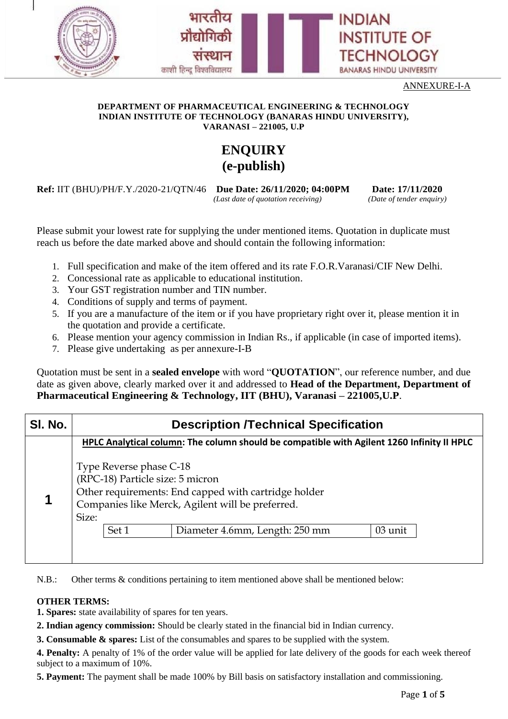



#### **DEPARTMENT OF PHARMACEUTICAL ENGINEERING & TECHNOLOGY INDIAN INSTITUTE OF TECHNOLOGY (BANARAS HINDU UNIVERSITY), VARANASI – 221005, U.P**

# **ENQUIRY (e-publish)**

**Ref:** IIT (BHU)/PH/F.Y./2020-21/QTN/46 **Due Date: 26/11/2020; 04:00PM Date: 17/11/2020**

*(Last date of quotation receiving) (Date of tender enquiry)*

**INDIAN** 

**INSTITUTE OF** 

**TECHNOLOGY** 

**BANARAS HINDU UNIVERSITY** 

Please submit your lowest rate for supplying the under mentioned items. Quotation in duplicate must reach us before the date marked above and should contain the following information:

- 1. Full specification and make of the item offered and its rate F.O.R.Varanasi/CIF New Delhi.
- 2. Concessional rate as applicable to educational institution.

काशी हिन्द विश्वविद्यालय

- 3. Your GST registration number and TIN number.
- 4. Conditions of supply and terms of payment.
- 5. If you are a manufacture of the item or if you have proprietary right over it, please mention it in the quotation and provide a certificate.
- 6. Please mention your agency commission in Indian Rs., if applicable (in case of imported items).
- 7. Please give undertaking as per annexure-I-B

Quotation must be sent in a **sealed envelope** with word "**QUOTATION**", our reference number, and due date as given above, clearly marked over it and addressed to **Head of the Department, Department of Pharmaceutical Engineering & Technology, IIT (BHU), Varanasi – 221005,U.P**.

| SI. No. | <b>Description /Technical Specification</b>                                                       |                                  |                                                                                                                                                                                |         |  |  |  |
|---------|---------------------------------------------------------------------------------------------------|----------------------------------|--------------------------------------------------------------------------------------------------------------------------------------------------------------------------------|---------|--|--|--|
|         | <b>HPLC Analytical column: The column should be compatible with Agilent 1260 Infinity II HPLC</b> |                                  |                                                                                                                                                                                |         |  |  |  |
| 1       | Size:                                                                                             | Type Reverse phase C-18<br>Set 1 | (RPC-18) Particle size: 5 micron<br>Other requirements: End capped with cartridge holder<br>Companies like Merck, Agilent will be preferred.<br>Diameter 4.6mm, Length: 250 mm | 03 unit |  |  |  |

N.B.: Other terms & conditions pertaining to item mentioned above shall be mentioned below:

### **OTHER TERMS:**

**1. Spares:** state availability of spares for ten years.

- **2. Indian agency commission:** Should be clearly stated in the financial bid in Indian currency.
- **3. Consumable & spares:** List of the consumables and spares to be supplied with the system.

**4. Penalty:** A penalty of 1% of the order value will be applied for late delivery of the goods for each week thereof subject to a maximum of 10%.

**5. Payment:** The payment shall be made 100% by Bill basis on satisfactory installation and commissioning.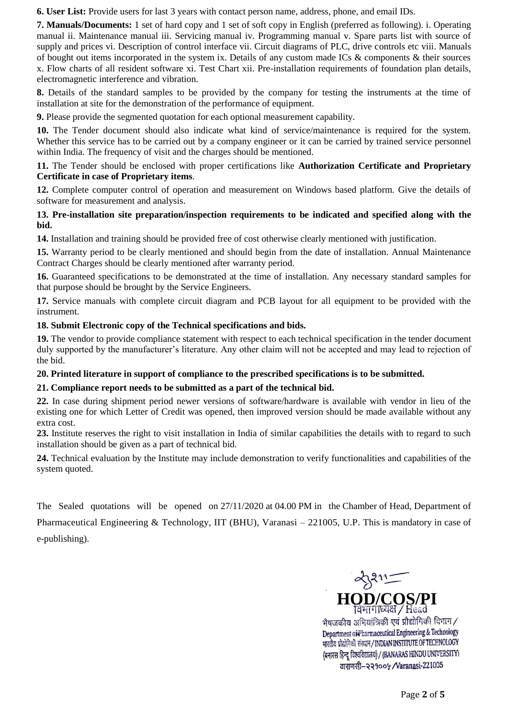**6. User List:** Provide users for last 3 years with contact person name, address, phone, and email IDs.

**7. Manuals/Documents:** 1 set of hard copy and 1 set of soft copy in English (preferred as following). i. Operating manual ii. Maintenance manual iii. Servicing manual iv. Programming manual v. Spare parts list with source of supply and prices vi. Description of control interface vii. Circuit diagrams of PLC, drive controls etc viii. Manuals of bought out items incorporated in the system ix. Details of any custom made ICs & components & their sources x. Flow charts of all resident software xi. Test Chart xii. Pre-installation requirements of foundation plan details, electromagnetic interference and vibration.

**8.** Details of the standard samples to be provided by the company for testing the instruments at the time of installation at site for the demonstration of the performance of equipment.

**9.** Please provide the segmented quotation for each optional measurement capability.

**10.** The Tender document should also indicate what kind of service/maintenance is required for the system. Whether this service has to be carried out by a company engineer or it can be carried by trained service personnel within India. The frequency of visit and the charges should be mentioned.

#### **11.** The Tender should be enclosed with proper certifications like **Authorization Certificate and Proprietary Certificate in case of Proprietary items**.

**12.** Complete computer control of operation and measurement on Windows based platform. Give the details of software for measurement and analysis.

### **13. Pre-installation site preparation/inspection requirements to be indicated and specified along with the bid.**

**14.** Installation and training should be provided free of cost otherwise clearly mentioned with justification.

**15.** Warranty period to be clearly mentioned and should begin from the date of installation. Annual Maintenance Contract Charges should be clearly mentioned after warranty period.

**16.** Guaranteed specifications to be demonstrated at the time of installation. Any necessary standard samples for that purpose should be brought by the Service Engineers.

**17.** Service manuals with complete circuit diagram and PCB layout for all equipment to be provided with the instrument.

### **18. Submit Electronic copy of the Technical specifications and bids.**

**19.** The vendor to provide compliance statement with respect to each technical specification in the tender document duly supported by the manufacturer's literature. Any other claim will not be accepted and may lead to rejection of the bid.

#### **20. Printed literature in support of compliance to the prescribed specifications is to be submitted.**

### **21. Compliance report needs to be submitted as a part of the technical bid.**

**22.** In case during shipment period newer versions of software/hardware is available with vendor in lieu of the existing one for which Letter of Credit was opened, then improved version should be made available without any extra cost.

**23.** Institute reserves the right to visit installation in India of similar capabilities the details with to regard to such installation should be given as a part of technical bid.

**24.** Technical evaluation by the Institute may include demonstration to verify functionalities and capabilities of the system quoted.

The Sealed quotations will be opened on 27/11/2020 at 04.00 PM in the Chamber of Head, Department of Pharmaceutical Engineering & Technology, IIT (BHU), Varanasi – 221005, U.P. This is mandatory in case of e-publishing).



वाराणसी-२२१००५ /Varanasi-221005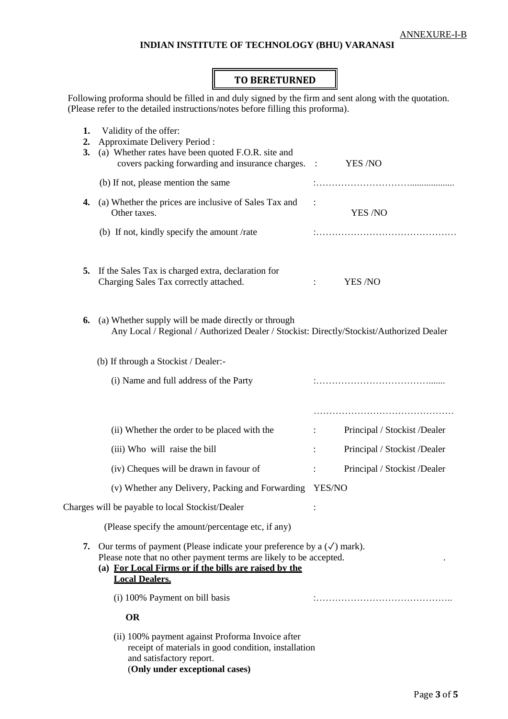## **INDIAN INSTITUTE OF TECHNOLOGY (BHU) VARANASI**

## **TO BERETURNED**

Following proforma should be filled in and duly signed by the firm and sent along with the quotation. (Please refer to the detailed instructions/notes before filling this proforma).

| 1.<br>2.<br>3. | Validity of the offer:<br>Approximate Delivery Period:<br>(a) Whether rates have been quoted F.O.R. site and<br>covers packing forwarding and insurance charges. :                                                                       |                           | YES /NO                      |  |  |  |
|----------------|------------------------------------------------------------------------------------------------------------------------------------------------------------------------------------------------------------------------------------------|---------------------------|------------------------------|--|--|--|
|                | (b) If not, please mention the same                                                                                                                                                                                                      |                           |                              |  |  |  |
| 4.             | (a) Whether the prices are inclusive of Sales Tax and<br>Other taxes.                                                                                                                                                                    | $\ddot{\cdot}$<br>YES /NO |                              |  |  |  |
|                | (b) If not, kindly specify the amount /rate                                                                                                                                                                                              |                           |                              |  |  |  |
| 5.             | If the Sales Tax is charged extra, declaration for<br>Charging Sales Tax correctly attached.                                                                                                                                             |                           | YES /NO                      |  |  |  |
| 6.             | (a) Whether supply will be made directly or through<br>Any Local / Regional / Authorized Dealer / Stockist: Directly/Stockist/Authorized Dealer                                                                                          |                           |                              |  |  |  |
|                | (b) If through a Stockist / Dealer:-                                                                                                                                                                                                     |                           |                              |  |  |  |
|                | (i) Name and full address of the Party                                                                                                                                                                                                   |                           |                              |  |  |  |
|                |                                                                                                                                                                                                                                          |                           |                              |  |  |  |
|                | (ii) Whether the order to be placed with the                                                                                                                                                                                             |                           | Principal / Stockist /Dealer |  |  |  |
|                | (iii) Who will raise the bill                                                                                                                                                                                                            |                           | Principal / Stockist /Dealer |  |  |  |
|                | (iv) Cheques will be drawn in favour of                                                                                                                                                                                                  | ÷                         | Principal / Stockist /Dealer |  |  |  |
|                | (v) Whether any Delivery, Packing and Forwarding                                                                                                                                                                                         | YES/NO                    |                              |  |  |  |
|                | Charges will be payable to local Stockist/Dealer                                                                                                                                                                                         |                           |                              |  |  |  |
|                | (Please specify the amount/percentage etc, if any)                                                                                                                                                                                       |                           |                              |  |  |  |
| 7.             | Our terms of payment (Please indicate your preference by a $(\checkmark)$ mark).<br>Please note that no other payment terms are likely to be accepted.<br>(a) For Local Firms or if the bills are raised by the<br><b>Local Dealers.</b> |                           |                              |  |  |  |
|                | (i) 100% Payment on bill basis                                                                                                                                                                                                           |                           |                              |  |  |  |
|                | <b>OR</b>                                                                                                                                                                                                                                |                           |                              |  |  |  |
|                | (ii) 100% payment against Proforma Invoice after<br>receipt of materials in good condition, installation<br>and satisfactory report.<br>(Only under exceptional cases)                                                                   |                           |                              |  |  |  |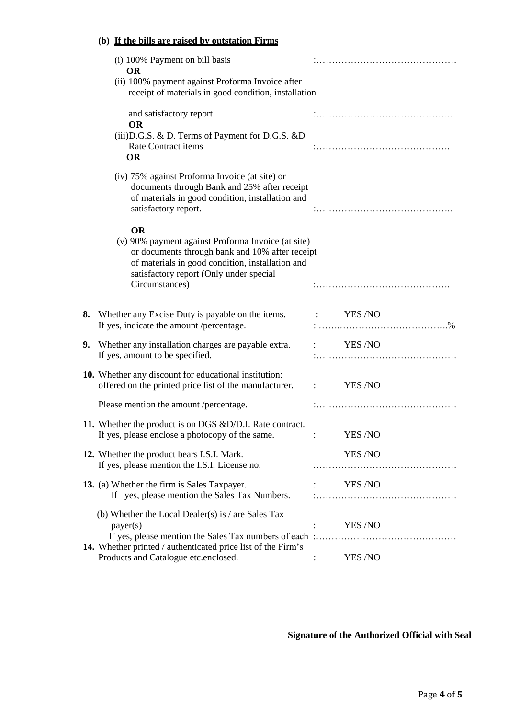## **(b) If the bills are raised by outstation Firms**

|    | (i) 100% Payment on bill basis<br><b>OR</b>                                                                                                                                                                       |                |  |  |
|----|-------------------------------------------------------------------------------------------------------------------------------------------------------------------------------------------------------------------|----------------|--|--|
|    | (ii) 100% payment against Proforma Invoice after<br>receipt of materials in good condition, installation                                                                                                          |                |  |  |
|    | and satisfactory report<br><b>OR</b>                                                                                                                                                                              |                |  |  |
|    | (iii) D.G.S. & D. Terms of Payment for D.G.S. & D<br><b>Rate Contract items</b><br><b>OR</b>                                                                                                                      |                |  |  |
|    | (iv) 75% against Proforma Invoice (at site) or<br>documents through Bank and 25% after receipt<br>of materials in good condition, installation and<br>satisfactory report.                                        |                |  |  |
|    | <b>OR</b><br>(v) 90% payment against Proforma Invoice (at site)<br>or documents through bank and 10% after receipt<br>of materials in good condition, installation and<br>satisfactory report (Only under special |                |  |  |
|    | Circumstances)                                                                                                                                                                                                    |                |  |  |
|    | 8. Whether any Excise Duty is payable on the items. : YES/NO<br>If yes, indicate the amount /percentage.                                                                                                          |                |  |  |
| 9. | Whether any installation charges are payable extra.<br>If yes, amount to be specified.                                                                                                                            | YES/NO         |  |  |
|    | 10. Whether any discount for educational institution:<br>offered on the printed price list of the manufacturer. :                                                                                                 | <b>YES /NO</b> |  |  |
|    | Please mention the amount /percentage.                                                                                                                                                                            |                |  |  |
|    | 11. Whether the product is on DGS &D/D.I. Rate contract.<br>If yes, please enclose a photocopy of the same.                                                                                                       | YES /NO        |  |  |
|    | 12. Whether the product bears I.S.I. Mark.<br>If yes, please mention the I.S.I. License no.                                                                                                                       | YES /NO        |  |  |
|    | 13. (a) Whether the firm is Sales Taxpayer.<br>If yes, please mention the Sales Tax Numbers.                                                                                                                      | <b>YES /NO</b> |  |  |
|    | (b) Whether the Local Dealer(s) is $/$ are Sales Tax<br>payer(s)                                                                                                                                                  | <b>YES /NO</b> |  |  |
|    | 14. Whether printed / authenticated price list of the Firm's<br>Products and Catalogue etc.enclosed.                                                                                                              | YES /NO        |  |  |

**Signature of the Authorized Official with Seal**